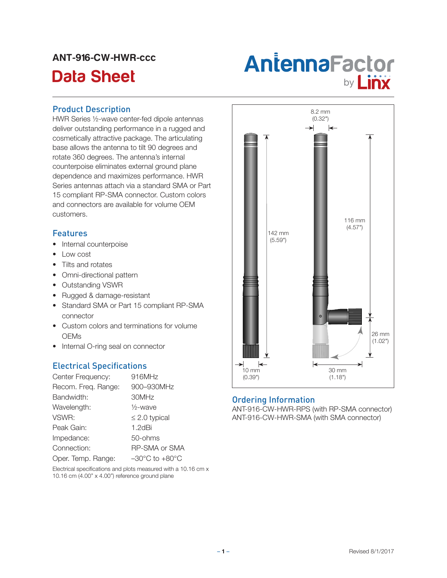# ANT-916-CW-HWR-ccc



#### Product Description

HWR Series ½-wave center-fed dipole antennas deliver outstanding performance in a rugged and cosmetically attractive package. The articulating base allows the antenna to tilt 90 degrees and rotate 360 degrees. The antenna's internal counterpoise eliminates external ground plane dependence and maximizes performance. HWR Series antennas attach via a standard SMA or Part 15 compliant RP-SMA connector. Custom colors and connectors are available for volume OEM customers.

### Features

- Internal counterpoise
- Low cost
- Tilts and rotates
- Omni-directional pattern
- • Outstanding VSWR
- • Rugged & damage-resistant
- Standard SMA or Part 15 compliant RP-SMA connector
- Custom colors and terminations for volume **OEMs**
- Internal O-ring seal on connector

# Electrical Specifications

| Center Frequency:   | 916MHz                             |
|---------------------|------------------------------------|
| Recom. Freq. Range: | 900-930MHz                         |
| Bandwidth:          | 30MHz                              |
| Wavelength:         | $\frac{1}{2}$ -wave                |
| VSWR:               | $\leq$ 2.0 typical                 |
| Peak Gain:          | $1.2$ d $Bi$                       |
| Impedance:          | 50-ohms                            |
| Connection:         | <b>RP-SMA or SMA</b>               |
| Oper. Temp. Range:  | $-30^{\circ}$ C to $+80^{\circ}$ C |

Electrical specifications and plots measured with a 10.16 cm x 10.16 cm (4.00" x 4.00") reference ground plane



### Ordering Information

ANT-916-CW-HWR-RPS (with RP-SMA connector) ANT-916-CW-HWR-SMA (with SMA connector)